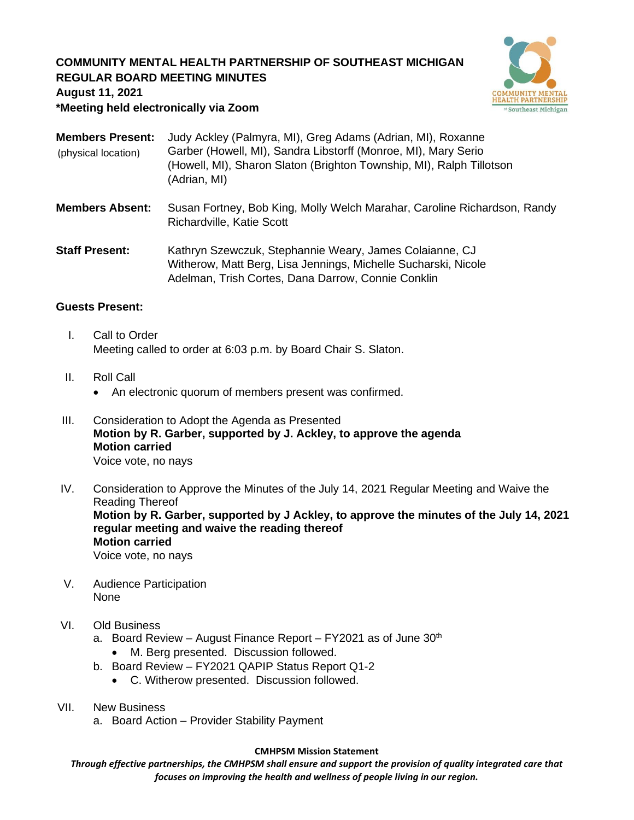## **COMMUNITY MENTAL HEALTH PARTNERSHIP OF SOUTHEAST MICHIGAN REGULAR BOARD MEETING MINUTES**



**August 11, 2021**

**\*Meeting held electronically via Zoom**

| <b>Members Present:</b><br>(physical location) | Judy Ackley (Palmyra, MI), Greg Adams (Adrian, MI), Roxanne<br>Garber (Howell, MI), Sandra Libstorff (Monroe, MI), Mary Serio<br>(Howell, MI), Sharon Slaton (Brighton Township, MI), Ralph Tillotson<br>(Adrian, MI) |
|------------------------------------------------|-----------------------------------------------------------------------------------------------------------------------------------------------------------------------------------------------------------------------|
| <b>Members Absent:</b>                         | Susan Fortney, Bob King, Molly Welch Marahar, Caroline Richardson, Randy<br>Richardville, Katie Scott                                                                                                                 |
| <b>Staff Present:</b>                          | Kathryn Szewczuk, Stephannie Weary, James Colaianne, CJ<br>Witherow, Matt Berg, Lisa Jennings, Michelle Sucharski, Nicole<br>Adelman, Trish Cortes, Dana Darrow, Connie Conklin                                       |

### **Guests Present:**

- I. Call to Order Meeting called to order at 6:03 p.m. by Board Chair S. Slaton.
- II. Roll Call
	- An electronic quorum of members present was confirmed.
- III. Consideration to Adopt the Agenda as Presented **Motion by R. Garber, supported by J. Ackley, to approve the agenda Motion carried** Voice vote, no nays
- IV. Consideration to Approve the Minutes of the July 14, 2021 Regular Meeting and Waive the Reading Thereof **Motion by R. Garber, supported by J Ackley, to approve the minutes of the July 14, 2021 regular meeting and waive the reading thereof Motion carried** Voice vote, no nays
- V. Audience Participation None
- VI. Old Business
	- a. Board Review August Finance Report  $FY2021$  as of June  $30<sup>th</sup>$ 
		- M. Berg presented. Discussion followed.
	- b. Board Review FY2021 QAPIP Status Report Q1-2
		- C. Witherow presented. Discussion followed.
- VII. New Business
	- a. Board Action Provider Stability Payment

#### **CMHPSM Mission Statement**

*Through effective partnerships, the CMHPSM shall ensure and support the provision of quality integrated care that focuses on improving the health and wellness of people living in our region.*